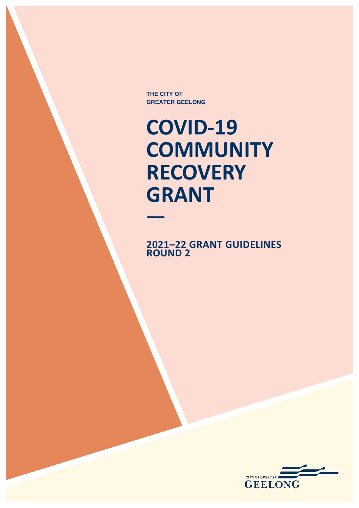**THE CITY OF GREATER GEELONG**

**COVID-19 COMMUNITY RECOVERY GRANT**

**2021–22 GRANT GUIDELINES ROUND 2**

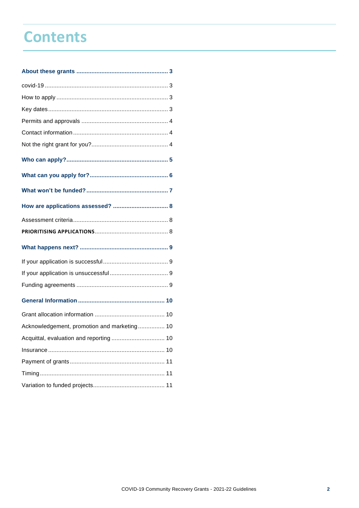## **Contents**

| Acknowledgement, promotion and marketing 10 |  |
|---------------------------------------------|--|
|                                             |  |
|                                             |  |
|                                             |  |
|                                             |  |
|                                             |  |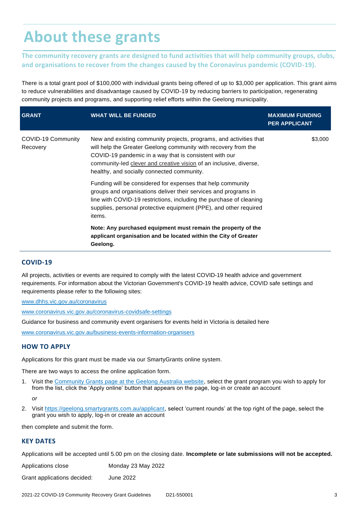# <span id="page-2-0"></span>**About these grants**

**The community recovery grants are designed to fund activities that will help community groups, clubs, and organisations to recover from the changes caused by the Coronavirus pandemic (COVID-19).**

There is a total grant pool of \$100,000 with individual grants being offered of up to \$3,000 per application. This grant aims to reduce vulnerabilities and disadvantage caused by COVID-19 by reducing barriers to participation, regenerating community projects and programs, and supporting relief efforts within the Geelong municipality.

| <b>GRANT</b>                   | <b>WHAT WILL BE FUNDED</b>                                                                                                                                                                                                                                                                                         | <b>MAXIMUM FUNDING</b><br><b>PER APPLICANT</b> |
|--------------------------------|--------------------------------------------------------------------------------------------------------------------------------------------------------------------------------------------------------------------------------------------------------------------------------------------------------------------|------------------------------------------------|
| COVID-19 Community<br>Recovery | New and existing community projects, programs, and activities that<br>will help the Greater Geelong community with recovery from the<br>COVID-19 pandemic in a way that is consistent with our<br>community-led clever and creative vision of an inclusive, diverse,<br>healthy, and socially connected community. | \$3,000                                        |
|                                | Funding will be considered for expenses that help community<br>groups and organisations deliver their services and programs in<br>line with COVID-19 restrictions, including the purchase of cleaning<br>supplies, personal protective equipment (PPE), and other required<br>items.                               |                                                |
|                                | Note: Any purchased equipment must remain the property of the<br>applicant organisation and be located within the City of Greater<br>Geelong.                                                                                                                                                                      |                                                |

### <span id="page-2-1"></span>**COVID-19**

All projects, activities or events are required to comply with the latest COVID-19 health advice and government requirements. For information about the Victorian Government's COVID-19 health advice, COVID safe settings and requirements please refer to the following sites:

[www.dhhs.vic.gov.au/coronavirus](https://www.dhhs.vic.gov.au/coronavirus)

[www.coronavirus.vic.gov.au/coronavirus-covidsafe-settings](https://www.coronavirus.vic.gov.au/coronavirus-covidsafe-settings)

Guidance for business and community event organisers for events held in Victoria is detailed here

[www.coronavirus.vic.gov.au/business-events-information-organisers](file:///C:/Users/ad10382/AppData/Roaming/Kapish/TRIM%20Explorer/PR/CL/820/838/7807684/17177533/www.coronavirus.vic.gov.au/business-events-information-organisers)

### <span id="page-2-2"></span>**HOW TO APPLY**

Applications for this grant must be made via our SmartyGrants online system.

There are two ways to access the online application form.

1. Visit the [Community Grants page at the Geelong Australia website,](https://www.geelongaustralia.com.au/grants/default.aspx) select the grant program you wish to apply for from the list, click the 'Apply online' button that appears on the page, log-in or create an account

*or*

2. Visit [https://geelong.smartygrants.com.au/applicant,](https://geelong.smartygrants.com.au/applicant) select 'current rounds' at the top right of the page, select the grant you wish to apply, log-in or create an account

then complete and submit the form.

### <span id="page-2-3"></span>**KEY DATES**

Applications will be accepted until 5.00 pm on the closing date. **Incomplete or late submissions will not be accepted.**

Applications close Monday 23 May 2022

Grant applications decided: June 2022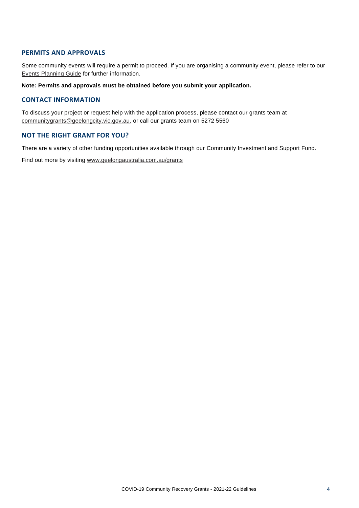#### <span id="page-3-0"></span>**PERMITS AND APPROVALS**

Some community events will require a permit to proceed. If you are organising a community event, please refer to our [Events Planning Guide](http://www.geelongaustralia.com.au/events/planning) for further information.

**Note: Permits and approvals must be obtained before you submit your application.** 

#### <span id="page-3-1"></span>**CONTACT INFORMATION**

To discuss your project or request help with the application process, please contact our grants team at [communitygrants@geelongcity.vic.gov.au,](mailto:communitygrants@geelongcity.vic.gov.au) or call our grants team on 5272 5560

### <span id="page-3-2"></span>**NOT THE RIGHT GRANT FOR YOU?**

There are a variety of other funding opportunities available through our Community Investment and Support Fund.

Find out more by visiting [www.geelongaustralia.com.au/grants](http://www.geelongaustralia.com.au/grants)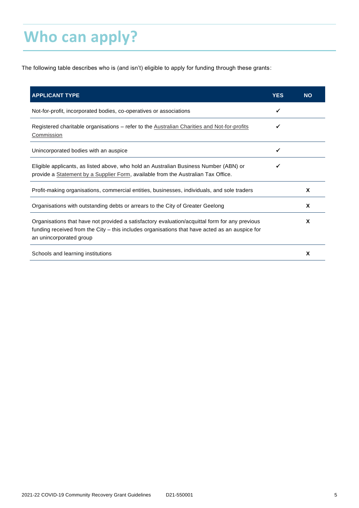# <span id="page-4-0"></span>**Who can apply?**

The following table describes who is (and isn't) eligible to apply for funding through these grants:

| <b>APPLICANT TYPE</b>                                                                                                                                                                                                       | <b>YES</b> | <b>NO</b> |
|-----------------------------------------------------------------------------------------------------------------------------------------------------------------------------------------------------------------------------|------------|-----------|
| Not-for-profit, incorporated bodies, co-operatives or associations                                                                                                                                                          | ✓          |           |
| Registered charitable organisations – refer to the Australian Charities and Not-for-profits<br>Commission                                                                                                                   |            |           |
| Unincorporated bodies with an auspice                                                                                                                                                                                       |            |           |
| Eligible applicants, as listed above, who hold an Australian Business Number (ABN) or<br>provide a Statement by a Supplier Form, available from the Australian Tax Office.                                                  |            |           |
| Profit-making organisations, commercial entities, businesses, individuals, and sole traders                                                                                                                                 |            | X         |
| Organisations with outstanding debts or arrears to the City of Greater Geelong                                                                                                                                              |            | X         |
| Organisations that have not provided a satisfactory evaluation/acquittal form for any previous<br>funding received from the City – this includes organisations that have acted as an auspice for<br>an unincorporated group |            | X         |
| Schools and learning institutions                                                                                                                                                                                           |            | X         |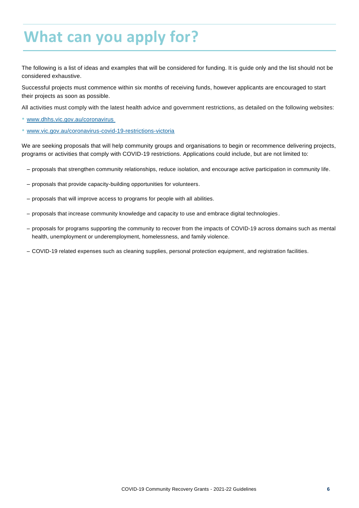# <span id="page-5-0"></span>**What can you apply for?**

The following is a list of ideas and examples that will be considered for funding. It is guide only and the list should not be considered exhaustive.

Successful projects must commence within six months of receiving funds, however applicants are encouraged to start their projects as soon as possible.

All activities must comply with the latest health advice and government restrictions, as detailed on the following websites:

- [www.dhhs.vic.gov.au/coronavirus](http://www.dhhs.vic.gov.au/coronavirus)
- [www.vic.gov.au/coronavirus-covid-19-restrictions-victoria](https://www.vic.gov.au/coronavirus-covid-19-restrictions-victoria)

We are seeking proposals that will help community groups and organisations to begin or recommence delivering projects, programs or activities that comply with COVID-19 restrictions. Applications could include, but are not limited to:

- proposals that strengthen community relationships, reduce isolation, and encourage active participation in community life.
- proposals that provide capacity-building opportunities for volunteers.
- proposals that will improve access to programs for people with all abilities.
- proposals that increase community knowledge and capacity to use and embrace digital technologies.
- proposals for programs supporting the community to recover from the impacts of COVID-19 across domains such as mental health, unemployment or underemployment, homelessness, and family violence.
- COVID-19 related expenses such as cleaning supplies, personal protection equipment, and registration facilities.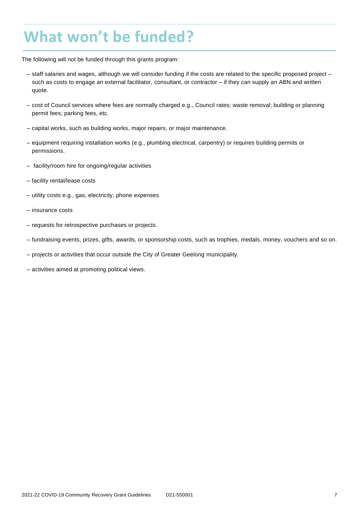# <span id="page-6-0"></span>**What won't be funded?**

The following will not be funded through this grants program:

- staff salaries and wages, although we will consider funding if the costs are related to the specific proposed project such as costs to engage an external facilitator, consultant, or contractor – if they can supply an ABN and written quote.
- cost of Council services where fees are normally charged e.g., Council rates; waste removal; building or planning permit fees; parking fees, etc.
- capital works, such as building works, major repairs, or major maintenance.
- equipment requiring installation works (e.g., plumbing electrical, carpentry) or requires building permits or permissions.
- facility/room hire for ongoing/regular activities
- facility rental/lease costs
- utility costs e.g., gas, electricity, phone expenses
- insurance costs
- requests for retrospective purchases or projects.
- fundraising events, prizes, gifts, awards, or sponsorship costs, such as trophies, medals, money, vouchers and so on.
- projects or activities that occur outside the City of Greater Geelong municipality.
- activities aimed at promoting political views.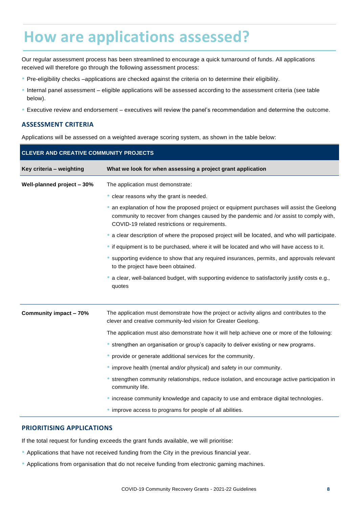### <span id="page-7-0"></span>**How are applications assessed?**

Our regular assessment process has been streamlined to encourage a quick turnaround of funds. All applications received will therefore go through the following assessment process:

- Pre-eligibility checks –applications are checked against the criteria on to determine their eligibility.
- Internal panel assessment eligible applications will be assessed according to the assessment criteria (see table below).
- Executive review and endorsement executives will review the panel's recommendation and determine the outcome.

### <span id="page-7-1"></span>**ASSESSMENT CRITERIA**

Applications will be assessed on a weighted average scoring system, as shown in the table below:

| <b>CLEVER AND CREATIVE COMMUNITY PROJECTS</b> |                                                                                                                                                                                                                                        |  |  |
|-----------------------------------------------|----------------------------------------------------------------------------------------------------------------------------------------------------------------------------------------------------------------------------------------|--|--|
| Key criteria - weighting                      | What we look for when assessing a project grant application                                                                                                                                                                            |  |  |
| Well-planned project - 30%                    | The application must demonstrate:                                                                                                                                                                                                      |  |  |
|                                               | • clear reasons why the grant is needed.                                                                                                                                                                                               |  |  |
|                                               | an explanation of how the proposed project or equipment purchases will assist the Geelong<br>community to recover from changes caused by the pandemic and /or assist to comply with,<br>COVID-19 related restrictions or requirements. |  |  |
|                                               | • a clear description of where the proposed project will be located, and who will participate.                                                                                                                                         |  |  |
|                                               | • if equipment is to be purchased, where it will be located and who will have access to it.                                                                                                                                            |  |  |
|                                               | • supporting evidence to show that any required insurances, permits, and approvals relevant<br>to the project have been obtained.                                                                                                      |  |  |
|                                               | a clear, well-balanced budget, with supporting evidence to satisfactorily justify costs e.g.,<br>quotes                                                                                                                                |  |  |
| Community impact - 70%                        | The application must demonstrate how the project or activity aligns and contributes to the<br>clever and creative community-led vision for Greater Geelong.                                                                            |  |  |
|                                               | The application must also demonstrate how it will help achieve one or more of the following:                                                                                                                                           |  |  |
|                                               | • strengthen an organisation or group's capacity to deliver existing or new programs.                                                                                                                                                  |  |  |
|                                               | • provide or generate additional services for the community.                                                                                                                                                                           |  |  |
|                                               | • improve health (mental and/or physical) and safety in our community.                                                                                                                                                                 |  |  |
|                                               | strengthen community relationships, reduce isolation, and encourage active participation in<br>community life.                                                                                                                         |  |  |
|                                               | • increase community knowledge and capacity to use and embrace digital technologies.                                                                                                                                                   |  |  |
|                                               | • improve access to programs for people of all abilities.                                                                                                                                                                              |  |  |

#### <span id="page-7-2"></span>**PRIORITISING APPLICATIONS**

If the total request for funding exceeds the grant funds available, we will prioritise:

- Applications that have not received funding from the City in the previous financial year.
- Applications from organisation that do not receive funding from electronic gaming machines.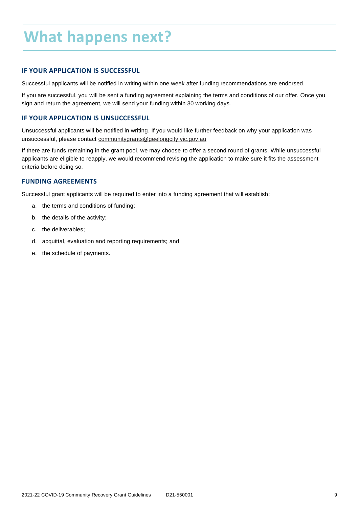# <span id="page-8-0"></span>**What happens next?**

### <span id="page-8-1"></span>**IF YOUR APPLICATION IS SUCCESSFUL**

Successful applicants will be notified in writing within one week after funding recommendations are endorsed.

If you are successful, you will be sent a funding agreement explaining the terms and conditions of our offer. Once you sign and return the agreement, we will send your funding within 30 working days.

### <span id="page-8-2"></span>**IF YOUR APPLICATION IS UNSUCCESSFUL**

Unsuccessful applicants will be notified in writing. If you would like further feedback on why your application was unsuccessful, please contact [communitygrants@geelongcity.vic.gov.au](mailto:communitygrants@geelongcity.vic.gov.au)

If there are funds remaining in the grant pool, we may choose to offer a second round of grants. While unsuccessful applicants are eligible to reapply, we would recommend revising the application to make sure it fits the assessment criteria before doing so.

### <span id="page-8-3"></span>**FUNDING AGREEMENTS**

Successful grant applicants will be required to enter into a funding agreement that will establish:

- a. the terms and conditions of funding;
- b. the details of the activity;
- c. the deliverables;
- d. acquittal, evaluation and reporting requirements; and
- e. the schedule of payments.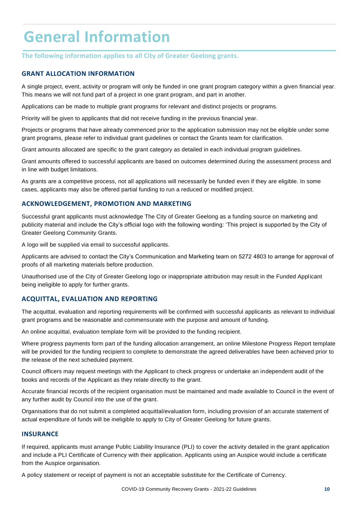# <span id="page-9-0"></span>**General Information**

**The following information applies to all City of Greater Geelong grants.** 

### <span id="page-9-1"></span>**GRANT ALLOCATION INFORMATION**

A single project, event, activity or program will only be funded in one grant program category within a given financial year. This means we will not fund part of a project in one grant program, and part in another.

Applications can be made to multiple grant programs for relevant and distinct projects or programs.

Priority will be given to applicants that did not receive funding in the previous financial year.

Projects or programs that have already commenced prior to the application submission may not be eligible under some grant programs, please refer to individual grant guidelines or contact the Grants team for clarification.

Grant amounts allocated are specific to the grant category as detailed in each individual program guidelines.

Grant amounts offered to successful applicants are based on outcomes determined during the assessment process and in line with budget limitations.

As grants are a competitive process, not all applications will necessarily be funded even if they are eligible. In some cases, applicants may also be offered partial funding to run a reduced or modified project.

### <span id="page-9-2"></span>**ACKNOWLEDGEMENT, PROMOTION AND MARKETING**

Successful grant applicants must acknowledge The City of Greater Geelong as a funding source on marketing and publicity material and include the City's official logo with the following wording: 'This project is supported by the City of Greater Geelong Community Grants.

A logo will be supplied via email to successful applicants.

Applicants are advised to contact the City's Communication and Marketing team on 5272 4803 to arrange for approval of proofs of all marketing materials before production.

Unauthorised use of the City of Greater Geelong logo or inappropriate attribution may result in the Funded Applicant being ineligible to apply for further grants.

### <span id="page-9-3"></span>**ACQUITTAL, EVALUATION AND REPORTING**

The acquittal, evaluation and reporting requirements will be confirmed with successful applicants as relevant to individual grant programs and be reasonable and commensurate with the purpose and amount of funding.

An online acquittal, evaluation template form will be provided to the funding recipient.

Where progress payments form part of the funding allocation arrangement, an online Milestone Progress Report template will be provided for the funding recipient to complete to demonstrate the agreed deliverables have been achieved prior to the release of the next scheduled payment.

Council officers may request meetings with the Applicant to check progress or undertake an independent audit of the books and records of the Applicant as they relate directly to the grant.

Accurate financial records of the recipient organisation must be maintained and made available to Council in the event of any further audit by Council into the use of the grant.

Organisations that do not submit a completed acquittal/evaluation form, including provision of an accurate statement of actual expenditure of funds will be ineligible to apply to City of Greater Geelong for future grants.

#### <span id="page-9-4"></span>**INSURANCE**

If required, applicants must arrange Public Liability Insurance (PLI) to cover the activity detailed in the grant application and include a PLI Certificate of Currency with their application. Applicants using an Auspice would include a certificate from the Auspice organisation.

A policy statement or receipt of payment is not an acceptable substitute for the Certificate of Currency.